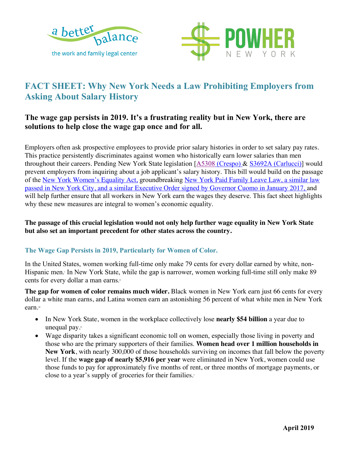



# **FACT SHEET: Why New York Needs a Law Prohibiting Employers from Asking About Salary History**

## **The wage gap persists in 2019. It's a frustrating reality but in New York, there are solutions to help close the wage gap once and for all.**

Employers often ask prospective employees to provide prior salary histories in order to set salary pay rates. This practice persistently discriminates against women who historically earn lower salaries than men throughout their careers. Pending New York State legislation [A5308 (Crespo) & S3692A (Carlucci)] would prevent employers from inquiring about a job applicant's salary history. This bill would build on the passage of the New York Women's Equality Act, groundbreaking New York Paid Family Leave Law, a similar law passed in New York City, and a similar Executive Order signed by Governor Cuomo in January 2017, and will help further ensure that all workers in New York earn the wages they deserve. This fact sheet highlights why these new measures are integral to women's economic equality.

#### **The passage of this crucial legislation would not only help further wage equality in New York State but also set an important precedent for other states across the country.**

#### **The Wage Gap Persists in 2019, Particularly for Women of Color.**

In the United States, women working full-time only make 79 cents for every dollar earned by white, non-Hispanic men. In New York State, while the gap is narrower, women working full-time still only make 89 cents for every dollar a man earns.<sup>ii</sup>

**The gap for women of color remains much wider.** Black women in New York earn just 66 cents for every dollar a white man earns, and Latina women earn an astonishing 56 percent of what white men in New York earn.iii

- In New York State, women in the workplace collectively lose **nearly \$54 billion** a year due to unequal pay.iv
- Wage disparity takes a significant economic toll on women, especially those living in poverty and those who are the primary supporters of their families. **Women head over 1 million households in New York**, with nearly 300,000 of those households surviving on incomes that fall below the poverty level. If the **wage gap of nearly \$5,916 per year** were eliminated in New York, women could use those funds to pay for approximately five months of rent, or three months of mortgage payments, or close to a year's supply of groceries for their families.